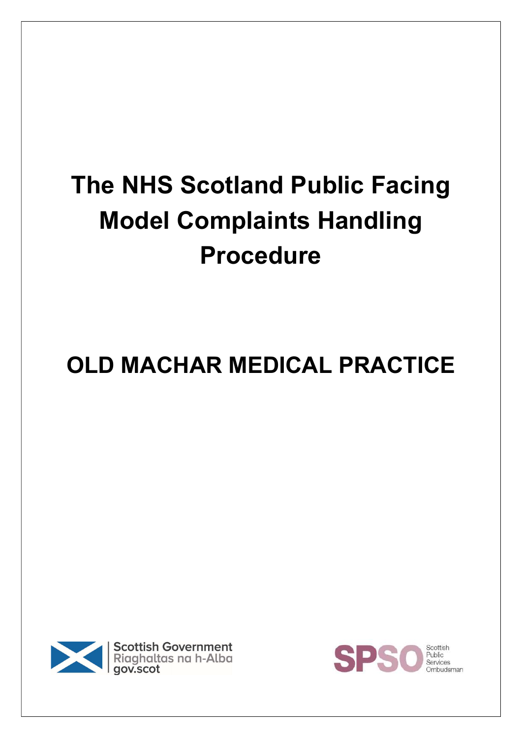# The NHS Scotland Public Facing Model Complaints Handling Procedure

# OLD MACHAR MEDICAL PRACTICE



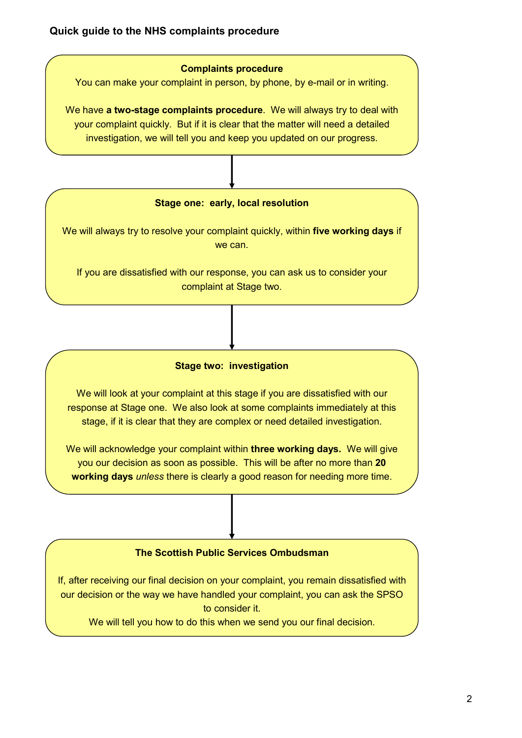#### Complaints procedure

You can make your complaint in person, by phone, by e-mail or in writing.

We have **a two-stage complaints procedure**. We will always try to deal with your complaint quickly. But if it is clear that the matter will need a detailed investigation, we will tell you and keep you updated on our progress.

#### Stage one: early, local resolution

We will always try to resolve your complaint quickly, within five working days if we can.

If you are dissatisfied with our response, you can ask us to consider your complaint at Stage two.

#### Stage two: investigation

We will look at your complaint at this stage if you are dissatisfied with our response at Stage one. We also look at some complaints immediately at this stage, if it is clear that they are complex or need detailed investigation.

We will acknowledge your complaint within three working days. We will give you our decision as soon as possible. This will be after no more than 20 working days *unless* there is clearly a good reason for needing more time.

#### The Scottish Public Services Ombudsman

If, after receiving our final decision on your complaint, you remain dissatisfied with our decision or the way we have handled your complaint, you can ask the SPSO to consider it.

We will tell you how to do this when we send you our final decision.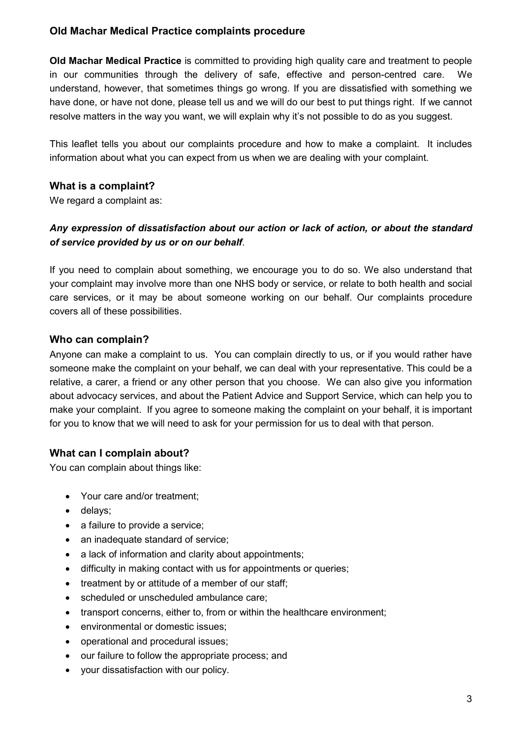#### Old Machar Medical Practice complaints procedure

Old Machar Medical Practice is committed to providing high quality care and treatment to people in our communities through the delivery of safe, effective and person-centred care. We understand, however, that sometimes things go wrong. If you are dissatisfied with something we have done, or have not done, please tell us and we will do our best to put things right. If we cannot resolve matters in the way you want, we will explain why it's not possible to do as you suggest.

This leaflet tells you about our complaints procedure and how to make a complaint. It includes information about what you can expect from us when we are dealing with your complaint.

### What is a complaint?

We regard a complaint as:

# Any expression of dissatisfaction about our action or lack of action, or about the standard of service provided by us or on our behalf.

If you need to complain about something, we encourage you to do so. We also understand that your complaint may involve more than one NHS body or service, or relate to both health and social care services, or it may be about someone working on our behalf. Our complaints procedure covers all of these possibilities.

#### Who can complain?

Anyone can make a complaint to us. You can complain directly to us, or if you would rather have someone make the complaint on your behalf, we can deal with your representative. This could be a relative, a carer, a friend or any other person that you choose. We can also give you information about advocacy services, and about the Patient Advice and Support Service, which can help you to make your complaint. If you agree to someone making the complaint on your behalf, it is important for you to know that we will need to ask for your permission for us to deal with that person.

### What can I complain about?

You can complain about things like:

- Your care and/or treatment;
- delays;
- a failure to provide a service;
- an inadequate standard of service;
- a lack of information and clarity about appointments:
- difficulty in making contact with us for appointments or queries;
- treatment by or attitude of a member of our staff;
- scheduled or unscheduled ambulance care;
- transport concerns, either to, from or within the healthcare environment;
- environmental or domestic issues;
- operational and procedural issues;
- our failure to follow the appropriate process; and
- your dissatisfaction with our policy.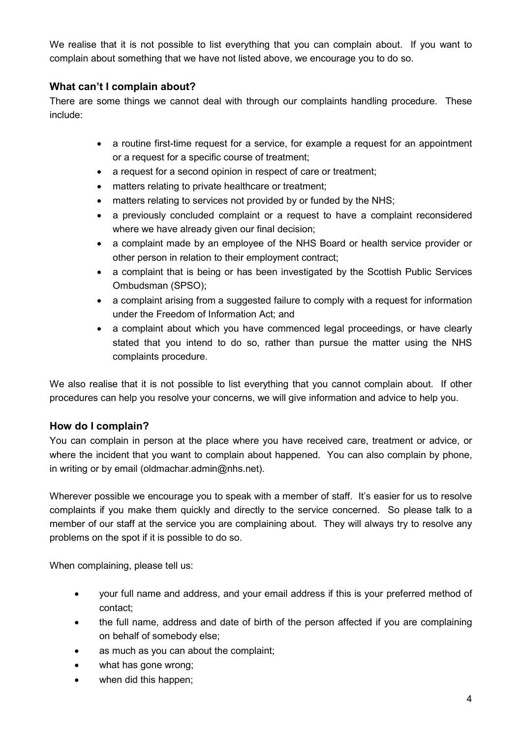We realise that it is not possible to list everything that you can complain about. If you want to complain about something that we have not listed above, we encourage you to do so.

# What can't I complain about?

There are some things we cannot deal with through our complaints handling procedure. These include:

- a routine first-time request for a service, for example a request for an appointment or a request for a specific course of treatment;
- a request for a second opinion in respect of care or treatment;
- matters relating to private healthcare or treatment;
- matters relating to services not provided by or funded by the NHS;
- a previously concluded complaint or a request to have a complaint reconsidered where we have already given our final decision;
- a complaint made by an employee of the NHS Board or health service provider or other person in relation to their employment contract;
- a complaint that is being or has been investigated by the Scottish Public Services Ombudsman (SPSO);
- a complaint arising from a suggested failure to comply with a request for information under the Freedom of Information Act; and
- a complaint about which you have commenced legal proceedings, or have clearly stated that you intend to do so, rather than pursue the matter using the NHS complaints procedure.

We also realise that it is not possible to list everything that you cannot complain about. If other procedures can help you resolve your concerns, we will give information and advice to help you.

### How do I complain?

You can complain in person at the place where you have received care, treatment or advice, or where the incident that you want to complain about happened. You can also complain by phone, in writing or by email (oldmachar.admin@nhs.net).

Wherever possible we encourage you to speak with a member of staff. It's easier for us to resolve complaints if you make them quickly and directly to the service concerned. So please talk to a member of our staff at the service you are complaining about. They will always try to resolve any problems on the spot if it is possible to do so.

When complaining, please tell us:

- your full name and address, and your email address if this is your preferred method of contact;
- the full name, address and date of birth of the person affected if you are complaining on behalf of somebody else;
- as much as you can about the complaint;
- what has gone wrong;
- when did this happen;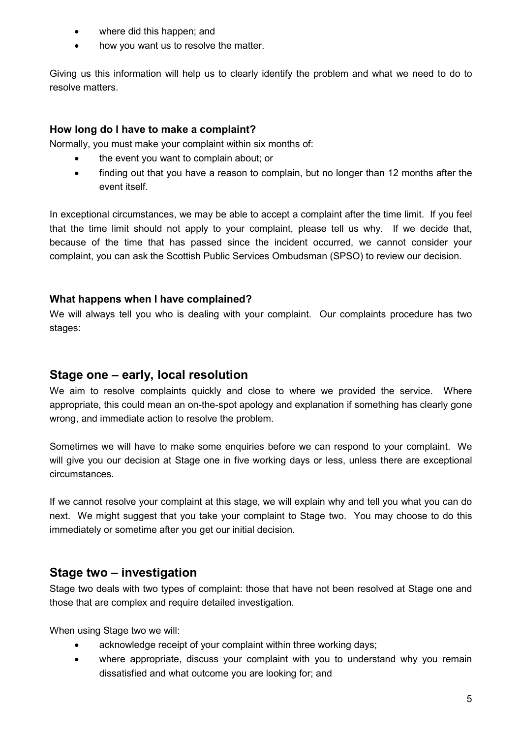- where did this happen; and
- how you want us to resolve the matter.

Giving us this information will help us to clearly identify the problem and what we need to do to resolve matters.

#### How long do I have to make a complaint?

Normally, you must make your complaint within six months of:

- the event you want to complain about; or
- finding out that you have a reason to complain, but no longer than 12 months after the event itself.

In exceptional circumstances, we may be able to accept a complaint after the time limit. If you feel that the time limit should not apply to your complaint, please tell us why. If we decide that, because of the time that has passed since the incident occurred, we cannot consider your complaint, you can ask the Scottish Public Services Ombudsman (SPSO) to review our decision.

#### What happens when I have complained?

We will always tell you who is dealing with your complaint. Our complaints procedure has two stages:

# Stage one – early, local resolution

We aim to resolve complaints quickly and close to where we provided the service. Where appropriate, this could mean an on-the-spot apology and explanation if something has clearly gone wrong, and immediate action to resolve the problem.

Sometimes we will have to make some enquiries before we can respond to your complaint. We will give you our decision at Stage one in five working days or less, unless there are exceptional circumstances.

If we cannot resolve your complaint at this stage, we will explain why and tell you what you can do next. We might suggest that you take your complaint to Stage two. You may choose to do this immediately or sometime after you get our initial decision.

# Stage two – investigation

Stage two deals with two types of complaint: those that have not been resolved at Stage one and those that are complex and require detailed investigation.

When using Stage two we will:

- acknowledge receipt of your complaint within three working days;
- where appropriate, discuss your complaint with you to understand why you remain dissatisfied and what outcome you are looking for; and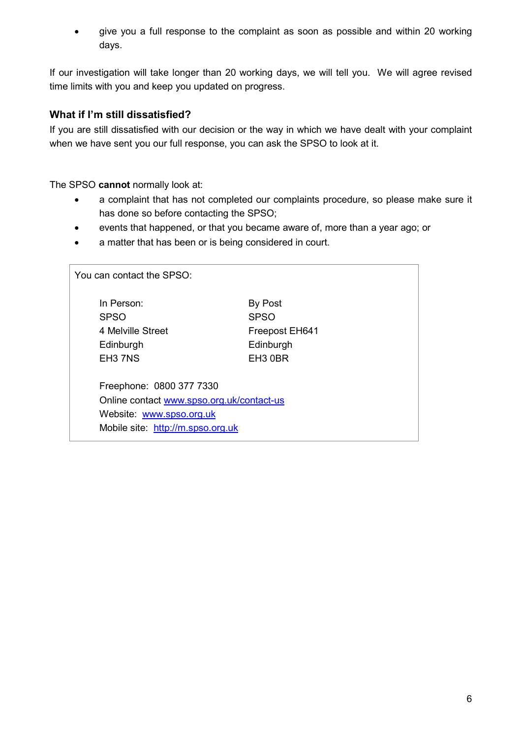give you a full response to the complaint as soon as possible and within 20 working days.

If our investigation will take longer than 20 working days, we will tell you. We will agree revised time limits with you and keep you updated on progress.

# What if I'm still dissatisfied?

If you are still dissatisfied with our decision or the way in which we have dealt with your complaint when we have sent you our full response, you can ask the SPSO to look at it.

The SPSO cannot normally look at:

- a complaint that has not completed our complaints procedure, so please make sure it has done so before contacting the SPSO;
- events that happened, or that you became aware of, more than a year ago; or
- a matter that has been or is being considered in court.

| You can contact the SPSO: |                                                                                                                                        |                                                                              |
|---------------------------|----------------------------------------------------------------------------------------------------------------------------------------|------------------------------------------------------------------------------|
|                           | In Person:<br><b>SPSO</b><br>4 Melville Street<br>Edinburgh<br>EH3 7NS                                                                 | By Post<br><b>SPSO</b><br>Freepost EH641<br>Edinburgh<br>EH <sub>3</sub> 0BR |
|                           | Freephone: 0800 377 7330<br>Online contact www.spso.org.uk/contact-us<br>Website: www.spso.org.uk<br>Mobile site: http://m.spso.org.uk |                                                                              |